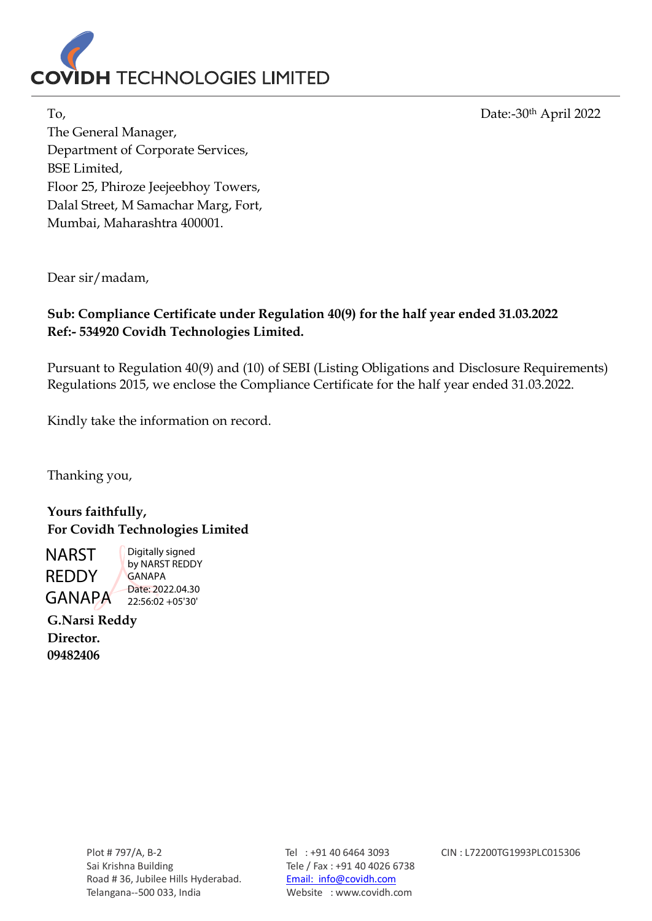

To, Date:-30th April 2022

The General Manager, Department of Corporate Services, BSE Limited, Floor 25, Phiroze Jeejeebhoy Towers, Dalal Street, M Samachar Marg, Fort, Mumbai, Maharashtra 400001.

Dear sir/madam,

## **Sub: Compliance Certificate under Regulation 40(9) for the half year ended 31.03.2022 Ref:- 534920 Covidh Technologies Limited.**

Pursuant to Regulation 40(9) and (10) of SEBI (Listing Obligations and Disclosure Requirements) Regulations 2015, we enclose the Compliance Certificate for the half year ended 31.03.2022.

Kindly take the information on record.

Thanking you,

**Yours faithfully, For Covidh Technologies Limited**

NARST REDDY GANAPA

Digitally signed by NARST REDDY GANAPA Date: 2022.04.30 22:56:02 +05'30'

**G.Narsi Reddy Director. 09482406**

Plot # 797/A, B-2 Tel : +91 40 6464 3093 CIN : L72200TG1993PLC015306